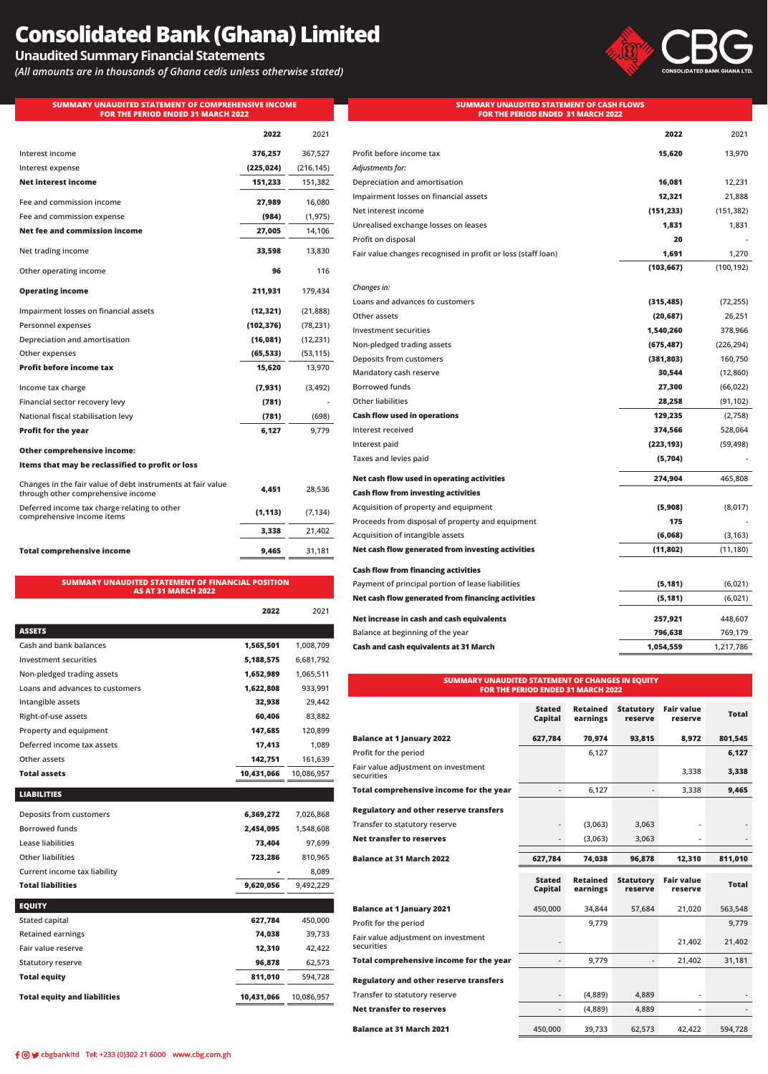# **Consolidated Bank (Ghana) Limited**

## **Unaudited Summary Financial Statements**

*(All amounts are in thousands of Ghana cedis unless otherwise stated)*

**SUMMARY UNAUDITED STATEMENT OF COMPREHENSIVE INCOME FOR THE PERIOD ENDED 31 MARCH 2022**



#### **SUMMARY UNAUDITED STATEMENT OF CASH FLOWS FOR THE PERIOD ENDED 31 MARCH 2022**

|                                                                                                   | 2022       | 2021       |
|---------------------------------------------------------------------------------------------------|------------|------------|
| Interest income                                                                                   | 376,257    | 367,527    |
| Interest expense                                                                                  | (225, 024) | (216, 145) |
| <b>Net interest income</b>                                                                        | 151,233    | 151,382    |
| Fee and commission income                                                                         | 27,989     | 16,080     |
| Fee and commission expense                                                                        | (984)      | (1, 975)   |
| Net fee and commission income                                                                     | 27,005     | 14,106     |
| Net trading income                                                                                | 33,598     | 13,830     |
| Other operating income                                                                            | 96         | 116        |
| <b>Operating income</b>                                                                           | 211,931    | 179,434    |
| Impairment losses on financial assets                                                             | (12, 321)  | (21, 888)  |
| Personnel expenses                                                                                | (102, 376) | (78, 231)  |
| Depreciation and amortisation                                                                     | (16, 081)  | (12, 231)  |
| Other expenses                                                                                    | (65, 533)  | (53, 115)  |
| <b>Profit before income tax</b>                                                                   | 15,620     | 13,970     |
| Income tax charge                                                                                 | (7,931)    | (3, 492)   |
| Financial sector recovery levy                                                                    | (781)      |            |
| National fiscal stabilisation levy                                                                | (781)      | (698)      |
| <b>Profit for the year</b>                                                                        | 6,127      | 9,779      |
| <b>Other comprehensive income:</b>                                                                |            |            |
| Items that may be reclassified to profit or loss                                                  |            |            |
| Changes in the fair value of debt instruments at fair value<br>through other comprehensive income | 4,451      | 28,536     |
| Deferred income tax charge relating to other<br>comprehensive income items                        | (1, 113)   | (7, 134)   |
|                                                                                                   | 3,338      | 21,402     |
| <b>Total comprehensive income</b>                                                                 | 9,465      | 31,181     |
|                                                                                                   |            |            |

#### **SUMMARY UNAUDITED STATEMENT OF FINANCIAL POSITION AS AT 31 MARCH 2022**

|                                 | 2022       | 2021       |
|---------------------------------|------------|------------|
| <b>ASSETS</b>                   |            |            |
| Cash and bank balances          | 1,565,501  | 1,008,709  |
| Investment securities           | 5,188,575  | 6,681,792  |
| Non-pledged trading assets      | 1,652,989  | 1,065,511  |
| Loans and advances to customers | 1,622,808  | 933,991    |
| Intangible assets               | 32,938     | 29,442     |
| Right-of-use assets             | 60,406     | 83,882     |
| Property and equipment          | 147,685    | 120,899    |
| Deferred income tax assets      | 17,413     | 1,089      |
| Other assets                    | 142,751    | 161,639    |
| <b>Total assets</b>             | 10,431,066 | 10.086.957 |
|                                 |            |            |

| <b>LIABILITIES</b>                  |            |            |
|-------------------------------------|------------|------------|
| Deposits from customers             | 6,369,272  | 7,026,868  |
| <b>Borrowed funds</b>               | 2,454,095  | 1,548,608  |
| <b>Lease liabilities</b>            | 73,404     | 97,699     |
| <b>Other liabilities</b>            | 723,286    | 810,965    |
| Current income tax liability        |            | 8,089      |
| <b>Total liabilities</b>            | 9,620,056  | 9,492,229  |
|                                     |            |            |
| <b>EQUITY</b>                       |            |            |
| Stated capital                      | 627,784    | 450,000    |
| <b>Retained earnings</b>            | 74,038     | 39,733     |
| Fair value reserve                  | 12,310     | 42,422     |
| <b>Statutory reserve</b>            | 96,878     | 62,573     |
| <b>Total equity</b>                 | 811,010    | 594,728    |
| <b>Total equity and liabilities</b> | 10,431,066 | 10,086,957 |
|                                     |            |            |

|                                                              | 2022       | 2021       |
|--------------------------------------------------------------|------------|------------|
| Profit before income tax                                     | 15,620     | 13,970     |
| Adjustments for:                                             |            |            |
| Depreciation and amortisation                                | 16,081     | 12,231     |
| Impairment losses on financial assets                        | 12,321     | 21,888     |
| Net interest income                                          | (151, 233) | (151, 382) |
| Unrealised exchange losses on leases                         | 1,831      | 1,831      |
| Profit on disposal                                           | 20         |            |
| Fair value changes recognised in profit or loss (staff loan) | 1,691      | 1,270      |
|                                                              | (103, 667) | (100, 192) |
| Changes in:                                                  |            |            |
| Loans and advances to customers                              | (315, 485) | (72, 255)  |
| Other assets                                                 | (20, 687)  | 26,251     |
| Investment securities                                        | 1,540,260  | 378,966    |
| Non-pledged trading assets                                   | (675, 487) | (226, 294) |
| Deposits from customers                                      | (381, 803) | 160,750    |
| Mandatory cash reserve                                       | 30,544     | (12, 860)  |
| <b>Borrowed funds</b>                                        | 27,300     | (66, 022)  |
| <b>Other liabilities</b>                                     | 28,258     | (91, 102)  |
| <b>Cash flow used in operations</b>                          | 129,235    | (2,758)    |
| Interest received                                            | 374,566    | 528,064    |
| Interest paid                                                | (223, 193) | (59, 498)  |
| Taxes and levies paid                                        | (5,704)    |            |
| Net cash flow used in operating activities                   | 274,904    | 465,808    |
| <b>Cash flow from investing activities</b>                   |            |            |
| Acquisition of property and equipment                        | (5,908)    | (8,017)    |
| Proceeds from disposal of property and equipment             | 175        |            |
| Acquisition of intangible assets                             | (6,068)    | (3, 163)   |
| Net cash flow generated from investing activities            | (11,802)   | (11, 180)  |
| <b>Cash flow from financing activities</b>                   |            |            |
| Payment of principal portion of lease liabilities            | (5, 181)   | (6,021)    |
| Net cash flow generated from financing activities            | (5, 181)   | (6,021)    |
| Net increase in cash and cash equivalents                    | 257,921    | 448,607    |
| Balance at beginning of the year                             | 796,638    | 769,179    |
| <b>Cash and cash equivalents at 31 March</b>                 | 1,054,559  | 1,217,786  |

#### **SUMMARY UNAUDITED STATEMENT OF CHANGES IN EQUITY FOR THE PERIOD ENDED 31 MARCH 2022**

|                                                   | <b>Stated</b><br>Capital | <b>Retained</b><br>earnings | <b>Statutory</b><br>reserve | <b>Fair value</b><br>reserve | <b>Total</b> |
|---------------------------------------------------|--------------------------|-----------------------------|-----------------------------|------------------------------|--------------|
| <b>Balance at 1 January 2022</b>                  | 627,784                  | 70,974                      | 93,815                      | 8,972                        | 801,545      |
| Profit for the period                             |                          | 6,127                       |                             |                              | 6,127        |
| Fair value adjustment on investment<br>securities |                          |                             |                             | 3,338                        | 3,338        |
| Total comprehensive income for the year           |                          | 6,127                       |                             | 3,338                        | 9,465        |
| <b>Regulatory and other reserve transfers</b>     |                          |                             |                             |                              |              |
| Transfer to statutory reserve                     |                          | (3,063)                     | 3,063                       |                              |              |
| <b>Net transfer to reserves</b>                   |                          | (3,063)                     | 3,063                       |                              |              |
| <b>Balance at 31 March 2022</b>                   | 627,784                  | 74,038                      | 96,878                      | 12,310                       | 811,010      |
|                                                   |                          |                             |                             |                              |              |
|                                                   | <b>Stated</b><br>Capital | <b>Retained</b><br>earnings | <b>Statutory</b><br>reserve | <b>Fair value</b><br>reserve | <b>Total</b> |
| <b>Balance at 1 January 2021</b>                  | 450,000                  | 34,844                      | 57,684                      | 21,020                       | 563,548      |
| Profit for the period                             |                          | 9,779                       |                             |                              | 9,779        |
| Fair value adjustment on investment<br>securities |                          |                             |                             | 21,402                       | 21,402       |
| Total comprehensive income for the year           |                          | 9,779                       |                             | 21,402                       | 31,181       |
| <b>Regulatory and other reserve transfers</b>     |                          |                             |                             |                              |              |
| Transfer to statutory reserve                     |                          | (4,889)                     | 4,889                       |                              |              |
| <b>Net transfer to reserves</b>                   |                          | (4,889)                     | 4,889                       |                              |              |